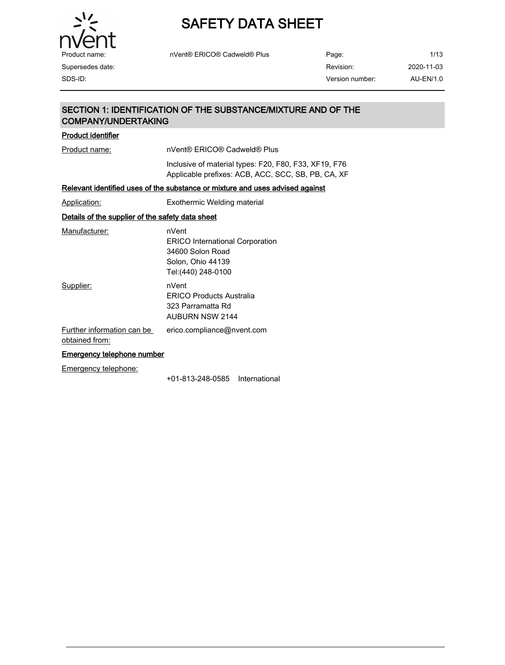

| Product name:    | nVent® ERICO® Cadweld® Plus | Page:           | 1/13       |
|------------------|-----------------------------|-----------------|------------|
| Supersedes date: |                             | Revision:       | 2020-11-03 |
| SDS-ID:          |                             | Version number: | AU-EN/1.0  |

## SECTION 1: IDENTIFICATION OF THE SUBSTANCE/MIXTURE AND OF THE COMPANY/UNDERTAKING

### Product identifier

Product name: nVent® ERICO® Cadweld® Plus

Inclusive of material types: F20, F80, F33, XF19, F76 Applicable prefixes: ACB, ACC, SCC, SB, PB, CA, XF

### Relevant identified uses of the substance or mixture and uses advised against

Application: Exothermic Welding material

### Details of the supplier of the safety data sheet

| Manufacturer:              | nVent                                  |
|----------------------------|----------------------------------------|
|                            | <b>ERICO International Corporation</b> |
|                            | 34600 Solon Road                       |
|                            | Solon, Ohio 44139                      |
|                            | Tel: (440) 248-0100                    |
| Supplier:                  | nVent                                  |
|                            | <b>ERICO Products Australia</b>        |
|                            | 323 Parramatta Rd                      |
|                            | <b>AUBURN NSW 2144</b>                 |
| Further information can be | erico.compliance@nvent.com             |
| obtained from:             |                                        |

#### Emergency telephone number

Emergency telephone:

+01-813-248-0585 International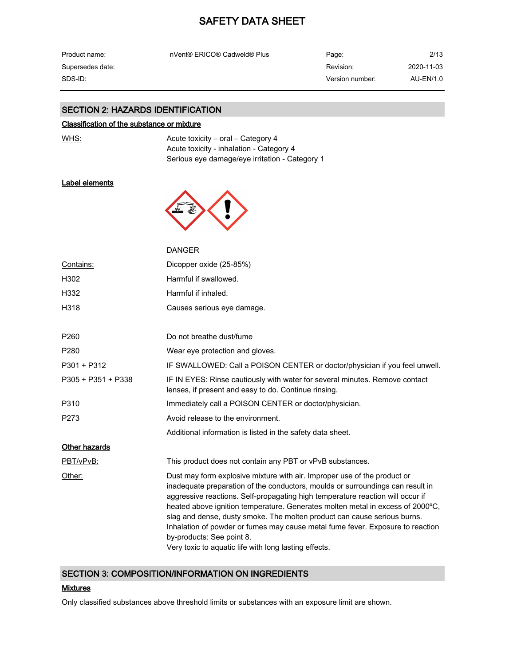| Product name:    | nVent® ERICO® Cadweld® Plus | Page:           | 2/13       |
|------------------|-----------------------------|-----------------|------------|
| Supersedes date: |                             | Revision:       | 2020-11-03 |
| SDS-ID: .        |                             | Version number: | AU-EN/1.0  |

#### SECTION 2: HAZARDS IDENTIFICATION

#### Classification of the substance or mixture

WHS: WHS: Acute toxicity – oral – Category 4 Acute toxicity - inhalation - Category 4 Serious eye damage/eye irritation - Category 1

#### Label elements



|                    | <b>DANGER</b>                                                                                                                                                                                                                                                                                                                                                                                                                                                                                                                                                                      |
|--------------------|------------------------------------------------------------------------------------------------------------------------------------------------------------------------------------------------------------------------------------------------------------------------------------------------------------------------------------------------------------------------------------------------------------------------------------------------------------------------------------------------------------------------------------------------------------------------------------|
| Contains:          | Dicopper oxide (25-85%)                                                                                                                                                                                                                                                                                                                                                                                                                                                                                                                                                            |
| H302               | Harmful if swallowed.                                                                                                                                                                                                                                                                                                                                                                                                                                                                                                                                                              |
| H332               | Harmful if inhaled.                                                                                                                                                                                                                                                                                                                                                                                                                                                                                                                                                                |
| H318               | Causes serious eye damage.                                                                                                                                                                                                                                                                                                                                                                                                                                                                                                                                                         |
|                    |                                                                                                                                                                                                                                                                                                                                                                                                                                                                                                                                                                                    |
| P <sub>260</sub>   | Do not breathe dust/fume                                                                                                                                                                                                                                                                                                                                                                                                                                                                                                                                                           |
| P280               | Wear eye protection and gloves.                                                                                                                                                                                                                                                                                                                                                                                                                                                                                                                                                    |
| P301 + P312        | IF SWALLOWED: Call a POISON CENTER or doctor/physician if you feel unwell.                                                                                                                                                                                                                                                                                                                                                                                                                                                                                                         |
| P305 + P351 + P338 | IF IN EYES: Rinse cautiously with water for several minutes. Remove contact<br>lenses, if present and easy to do. Continue rinsing.                                                                                                                                                                                                                                                                                                                                                                                                                                                |
| P310               | Immediately call a POISON CENTER or doctor/physician.                                                                                                                                                                                                                                                                                                                                                                                                                                                                                                                              |
| P <sub>273</sub>   | Avoid release to the environment.                                                                                                                                                                                                                                                                                                                                                                                                                                                                                                                                                  |
|                    | Additional information is listed in the safety data sheet.                                                                                                                                                                                                                                                                                                                                                                                                                                                                                                                         |
| Other hazards      |                                                                                                                                                                                                                                                                                                                                                                                                                                                                                                                                                                                    |
| PBT/vPvB:          | This product does not contain any PBT or vPvB substances.                                                                                                                                                                                                                                                                                                                                                                                                                                                                                                                          |
| Other:             | Dust may form explosive mixture with air. Improper use of the product or<br>inadequate preparation of the conductors, moulds or surroundings can result in<br>aggressive reactions. Self-propagating high temperature reaction will occur if<br>heated above ignition temperature. Generates molten metal in excess of 2000°C,<br>slag and dense, dusty smoke. The molten product can cause serious burns.<br>Inhalation of powder or fumes may cause metal fume fever. Exposure to reaction<br>by-products: See point 8.<br>Very toxic to aquatic life with long lasting effects. |

### SECTION 3: COMPOSITION/INFORMATION ON INGREDIENTS

#### **Mixtures**

Only classified substances above threshold limits or substances with an exposure limit are shown.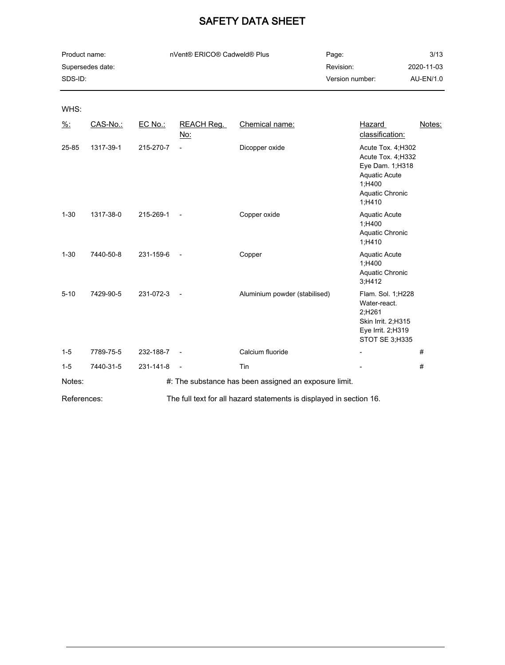| Product name:    | nVent® ERICO® Cadweld® Plus | Page:           | 3/13       |
|------------------|-----------------------------|-----------------|------------|
| Supersedes date: |                             | Revision:       | 2020-11-03 |
| SDS-ID:          |                             | Version number: | AU-EN/1.0  |

WHS:

| $\frac{9}{6}$ : | CAS-No.:  | EC No.:   | <b>REACH Reg.</b><br><u>No:</u> | Chemical name:                                                      | Hazard<br>classification:                                                                                                   | Notes: |
|-----------------|-----------|-----------|---------------------------------|---------------------------------------------------------------------|-----------------------------------------------------------------------------------------------------------------------------|--------|
| 25-85           | 1317-39-1 | 215-270-7 | $\overline{\phantom{a}}$        | Dicopper oxide                                                      | Acute Tox. 4; H302<br>Acute Tox. 4; H332<br>Eye Dam. 1; H318<br><b>Aquatic Acute</b><br>1;H400<br>Aquatic Chronic<br>1,H410 |        |
| $1 - 30$        | 1317-38-0 | 215-269-1 | $\overline{\phantom{a}}$        | Copper oxide                                                        | <b>Aquatic Acute</b><br>1;H400<br>Aquatic Chronic<br>1;H410                                                                 |        |
| $1 - 30$        | 7440-50-8 | 231-159-6 | $\overline{\phantom{a}}$        | Copper                                                              | <b>Aquatic Acute</b><br>1;H400<br>Aquatic Chronic<br>3;H412                                                                 |        |
| $5 - 10$        | 7429-90-5 | 231-072-3 | $\overline{\phantom{a}}$        | Aluminium powder (stabilised)                                       | Flam. Sol. 1;H228<br>Water-react.<br>2;H261<br>Skin Irrit. 2;H315<br>Eye Irrit. 2;H319<br>STOT SE 3;H335                    |        |
| $1 - 5$         | 7789-75-5 | 232-188-7 | $\overline{\phantom{a}}$        | Calcium fluoride                                                    |                                                                                                                             | #      |
| $1 - 5$         | 7440-31-5 | 231-141-8 | $\overline{\phantom{a}}$        | Tin                                                                 |                                                                                                                             | #      |
| Notes:          |           |           |                                 | #: The substance has been assigned an exposure limit.               |                                                                                                                             |        |
| References:     |           |           |                                 | The full text for all hazard statements is displayed in section 16. |                                                                                                                             |        |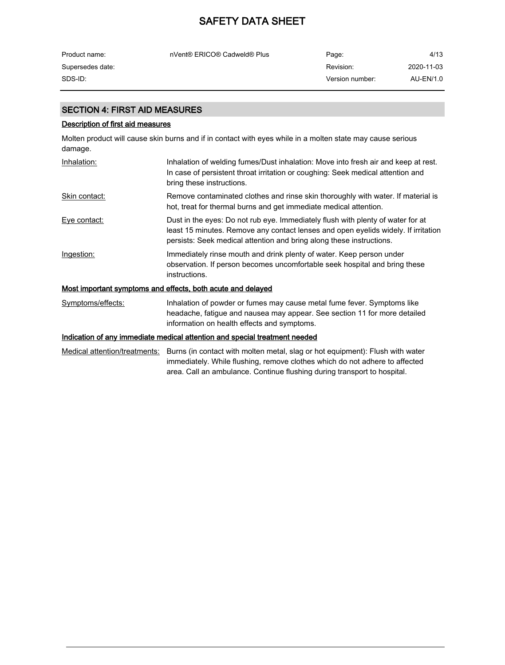| Product name:    | nVent® ERICO® Cadweld® Plus | Page:           | 4/13       |
|------------------|-----------------------------|-----------------|------------|
| Supersedes date: |                             | Revision:       | 2020-11-03 |
| SDS-ID:          |                             | Version number: | AU-EN/1.0  |

### SECTION 4: FIRST AID MEASURES

#### Description of first aid measures

Molten product will cause skin burns and if in contact with eyes while in a molten state may cause serious damage.

| Inhalation:       | Inhalation of welding fumes/Dust inhalation: Move into fresh air and keep at rest.<br>In case of persistent throat irritation or coughing: Seek medical attention and<br>bring these instructions.                                            |
|-------------------|-----------------------------------------------------------------------------------------------------------------------------------------------------------------------------------------------------------------------------------------------|
| Skin contact:     | Remove contaminated clothes and rinse skin thoroughly with water. If material is<br>hot, treat for thermal burns and get immediate medical attention.                                                                                         |
| Eye contact:      | Dust in the eyes: Do not rub eye. Immediately flush with plenty of water for at<br>least 15 minutes. Remove any contact lenses and open eyelids widely. If irritation<br>persists: Seek medical attention and bring along these instructions. |
| Ingestion:        | Immediately rinse mouth and drink plenty of water. Keep person under<br>observation. If person becomes uncomfortable seek hospital and bring these<br>instructions.                                                                           |
|                   | Most important symptoms and effects, both acute and delayed                                                                                                                                                                                   |
| Symptoms/effects: | Inhalation of powder or fumes may cause metal fume fever. Symptoms like<br>headache, fatigue and nausea may appear. See section 11 for more detailed<br>information on health effects and symptoms.                                           |

## Indication of any immediate medical attention and special treatment needed

Medical attention/treatments: Burns (in contact with molten metal, slag or hot equipment): Flush with water immediately. While flushing, remove clothes which do not adhere to affected area. Call an ambulance. Continue flushing during transport to hospital.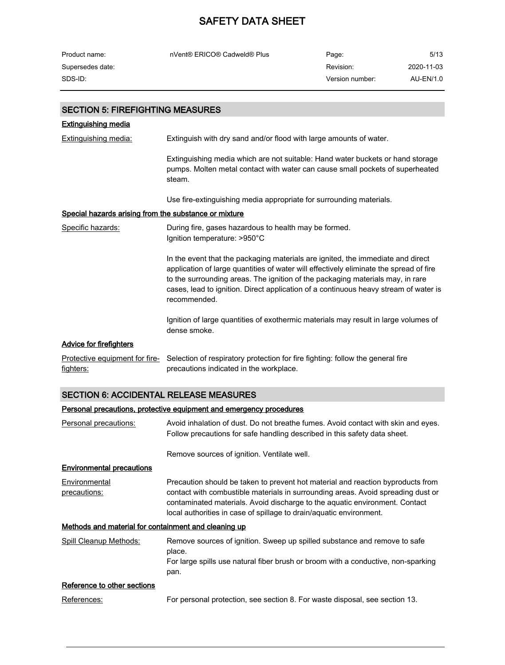| Product name:                           | nVent® ERICO® Cadweld® Plus                                                                                                                                               | Page:           | 5/13       |
|-----------------------------------------|---------------------------------------------------------------------------------------------------------------------------------------------------------------------------|-----------------|------------|
| Supersedes date:                        |                                                                                                                                                                           | Revision:       | 2020-11-03 |
| SDS-ID:                                 |                                                                                                                                                                           | Version number: | AU-EN/1.0  |
|                                         |                                                                                                                                                                           |                 |            |
| <b>SECTION 5: FIREFIGHTING MEASURES</b> |                                                                                                                                                                           |                 |            |
| <b>Extinguishing media</b>              |                                                                                                                                                                           |                 |            |
| Extinguishing media:                    | Extinguish with dry sand and/or flood with large amounts of water.                                                                                                        |                 |            |
|                                         | Extinguishing media which are not suitable: Hand water buckets or hand storage<br>pumps. Molten metal contact with water can cause small pockets of superheated<br>steam. |                 |            |
|                                         | Use fire-extinguishing media appropriate for surrounding materials.                                                                                                       |                 |            |

#### Special hazards arising from the substance or mixture

Specific hazards: During fire, gases hazardous to health may be formed. Ignition temperature: >950°C In the event that the packaging materials are ignited, the immediate and direct application of large quantities of water will effectively eliminate the spread of fire to the surrounding areas. The ignition of the packaging materials may, in rare cases, lead to ignition. Direct application of a continuous heavy stream of water is recommended. Ignition of large quantities of exothermic materials may result in large volumes of dense smoke. Advice for firefighters Protective equipment for fire- Selection of respiratory protection for fire fighting: follow the general fire fighters: precautions indicated in the workplace.

#### SECTION 6: ACCIDENTAL RELEASE MEASURES

#### Personal precautions, protective equipment and emergency procedures

| Personal precautions:                                       | Avoid inhalation of dust. Do not breathe fumes. Avoid contact with skin and eyes.<br>Follow precautions for safe handling described in this safety data sheet.                                                                                                                                                            |  |  |
|-------------------------------------------------------------|---------------------------------------------------------------------------------------------------------------------------------------------------------------------------------------------------------------------------------------------------------------------------------------------------------------------------|--|--|
|                                                             | Remove sources of ignition. Ventilate well.                                                                                                                                                                                                                                                                               |  |  |
| <b>Environmental precautions</b>                            |                                                                                                                                                                                                                                                                                                                           |  |  |
| Environmental<br>precautions:                               | Precaution should be taken to prevent hot material and reaction byproducts from<br>contact with combustible materials in surrounding areas. Avoid spreading dust or<br>contaminated materials. Avoid discharge to the aquatic environment. Contact<br>local authorities in case of spillage to drain/aquatic environment. |  |  |
| <u>Methods and material for containment and cleaning up</u> |                                                                                                                                                                                                                                                                                                                           |  |  |
| Spill Cleanup Methods:                                      | Remove sources of ignition. Sweep up spilled substance and remove to safe<br>place.<br>For large spills use natural fiber brush or broom with a conductive, non-sparking<br>pan.                                                                                                                                          |  |  |
| Reference to other sections                                 |                                                                                                                                                                                                                                                                                                                           |  |  |
| References:                                                 | For personal protection, see section 8. For waste disposal, see section 13.                                                                                                                                                                                                                                               |  |  |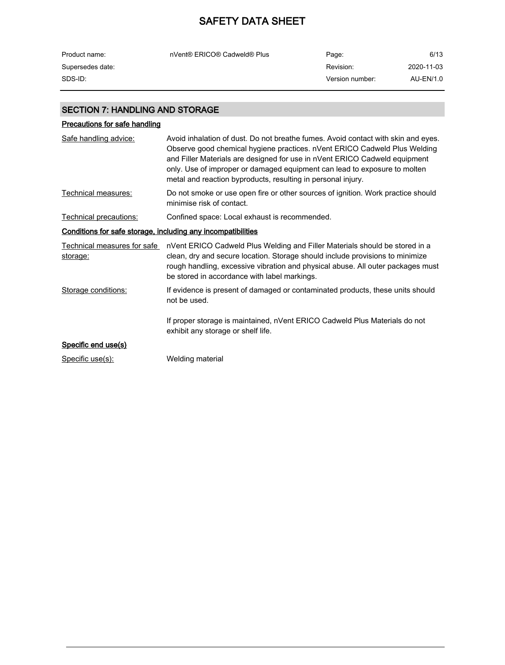| nVent® ERICO® Cadweld® Plus | Page:     | 6/13            |
|-----------------------------|-----------|-----------------|
|                             | Revision: | 2020-11-03      |
|                             |           | AU-EN/1.0       |
|                             |           | Version number: |

### SECTION 7: HANDLING AND STORAGE

## Precautions for safe handling Safe handling advice: Avoid inhalation of dust. Do not breathe fumes. Avoid contact with skin and eyes. Observe good chemical hygiene practices. nVent ERICO Cadweld Plus Welding and Filler Materials are designed for use in nVent ERICO Cadweld equipment only. Use of improper or damaged equipment can lead to exposure to molten metal and reaction byproducts, resulting in personal injury. Technical measures: Do not smoke or use open fire or other sources of ignition. Work practice should minimise risk of contact. Technical precautions: Confined space: Local exhaust is recommended. Conditions for safe storage, including any incompatibilities <u>Technical measures for safe </u> nVent ERICO Cadweld Plus Welding and Filler Materials should be stored in a l storage: clean, dry and secure location. Storage should include provisions to minimize rough handling, excessive vibration and physical abuse. All outer packages must be stored in accordance with label markings. Storage conditions: If evidence is present of damaged or contaminated products, these units should not be used.

If proper storage is maintained, nVent ERICO Cadweld Plus Materials do not exhibit any storage or shelf life.

### Specific end use(s)

Specific use(s): Welding material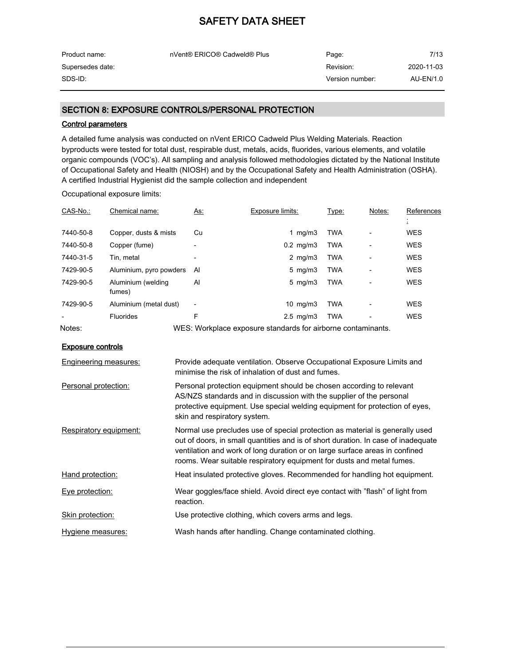| Product name:    | nVent® ERICO® Cadweld® Plus | Page:           | 7/13       |
|------------------|-----------------------------|-----------------|------------|
| Supersedes date: |                             | Revision:       | 2020-11-03 |
| SDS-ID:          |                             | Version number: | AU-EN/1.0  |

#### SECTION 8: EXPOSURE CONTROLS/PERSONAL PROTECTION

#### Control parameters

A detailed fume analysis was conducted on nVent ERICO Cadweld Plus Welding Materials. Reaction byproducts were tested for total dust, respirable dust, metals, acids, fluorides, various elements, and volatile organic compounds (VOC's). All sampling and analysis followed methodologies dictated by the National Institute of Occupational Safety and Health (NIOSH) and by the Occupational Safety and Health Administration (OSHA). A certified Industrial Hygienist did the sample collection and independent

Occupational exposure limits:

| CAS-No.:                 | Chemical name:               | As:                      | Exposure limits:                                                                                                             | Type:      | Notes: | References |
|--------------------------|------------------------------|--------------------------|------------------------------------------------------------------------------------------------------------------------------|------------|--------|------------|
|                          |                              |                          |                                                                                                                              |            |        | ÷.         |
| 7440-50-8                | Copper, dusts & mists        | Cu                       | 1 mg/m $3$                                                                                                                   | TWA        |        | WES        |
| 7440-50-8                | Copper (fume)                | $\overline{\phantom{a}}$ | $0.2$ mg/m $3$                                                                                                               | <b>TWA</b> |        | <b>WES</b> |
| 7440-31-5                | Tin, metal                   |                          | 2 mg/m $3$                                                                                                                   | <b>TWA</b> |        | <b>WES</b> |
| 7429-90-5                | Aluminium, pyro powders      | Al                       | 5 mg/m $3$                                                                                                                   | TWA        |        | WES        |
| 7429-90-5                | Aluminium (welding<br>fumes) | AI                       | 5 mg/m $3$                                                                                                                   | <b>TWA</b> |        | <b>WES</b> |
| 7429-90-5                | Aluminium (metal dust)       | $\overline{\phantom{a}}$ | 10 $mg/m3$                                                                                                                   | TWA        |        | <b>WES</b> |
|                          | <b>Fluorides</b>             | F                        | $2.5 \text{ mg/m}$ 3                                                                                                         | TWA        |        | <b>WES</b> |
| Notes:                   |                              |                          | WES: Workplace exposure standards for airborne contaminants.                                                                 |            |        |            |
| <b>Exposure controls</b> |                              |                          |                                                                                                                              |            |        |            |
| Engineering measures:    |                              |                          | Provide adequate ventilation. Observe Occupational Exposure Limits and<br>minimise the risk of inhalation of dust and fumes. |            |        |            |
|                          |                              |                          |                                                                                                                              |            |        |            |

| Personal protection equipment should be chosen according to relevant        |
|-----------------------------------------------------------------------------|
| AS/NZS standards and in discussion with the supplier of the personal        |
| protective equipment. Use special welding equipment for protection of eyes. |
| skin and respiratory system.                                                |
|                                                                             |

Respiratory equipment: Normal use precludes use of special protection as material is generally used out of doors, in small quantities and is of short duration. In case of inadequate ventilation and work of long duration or on large surface areas in confined rooms. Wear suitable respiratory equipment for dusts and metal fumes. Hand protection: Heat insulated protective gloves. Recommended for handling hot equipment.

Eye protection: Wear goggles/face shield. Avoid direct eye contact with "flash" of light from reaction.

Skin protection: Use protective clothing, which covers arms and legs.

Hygiene measures: Wash hands after handling. Change contaminated clothing.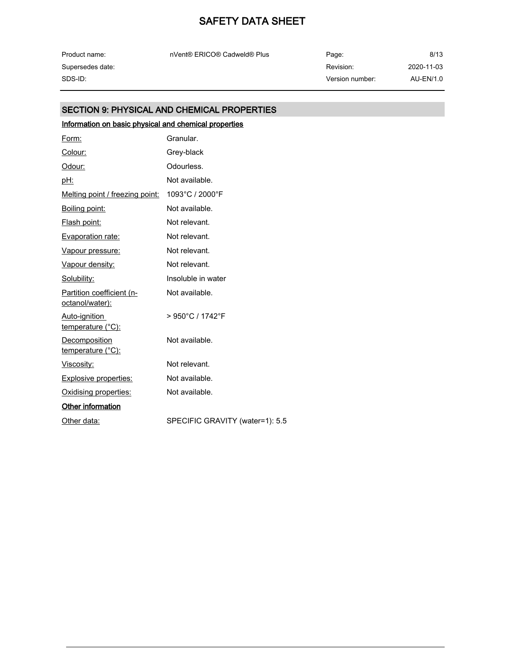| Product name:    |
|------------------|
| Supersedes date: |
| SDS-ID:          |

nVent® ERICO® Cadweld® Plus extending the Page:

Revision: Version number: SDS-ID: AU-EN/1.0 8/13 2020-11-03

### SECTION 9: PHYSICAL AND CHEMICAL PROPERTIES

## Information on basic physical and chemical properties

| Form:                                        | Granular.                             |
|----------------------------------------------|---------------------------------------|
| Colour:                                      | Grey-black                            |
| Odour:                                       | Odourless.                            |
| <u>pH:</u>                                   | Not available.                        |
| Melting point / freezing point:              | 1093°C / 2000°F                       |
| Boiling point:                               | Not available.                        |
| Flash point:                                 | Not relevant.                         |
| Evaporation rate:                            | Not relevant.                         |
| Vapour pressure:                             | Not relevant.                         |
| Vapour density:                              | Not relevant.                         |
| Solubility:                                  | Insoluble in water                    |
| Partition coefficient (n-<br>octanol/water): | Not available.                        |
| Auto-ignition<br>temperature (°C):           | $> 950^{\circ}$ C / 1742 $^{\circ}$ F |
| Decomposition<br>temperature (°C):           | Not available.                        |
| <u>Viscosity:</u>                            | Not relevant.                         |
| <b>Explosive properties:</b>                 | Not available.                        |
| Oxidising properties:                        | Not available.                        |
| Other information                            |                                       |
| Other data:                                  | SPECIFIC GRAVITY (water=1): 5.5       |
|                                              |                                       |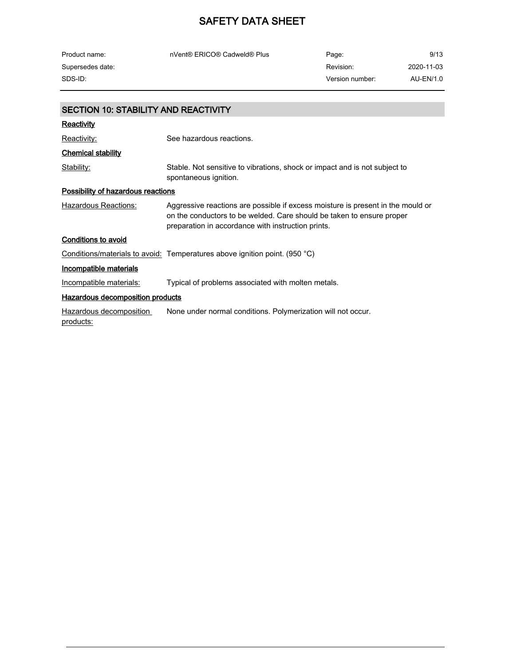| Product name:                               | nVent® ERICO® Cadweld® Plus                                                                                                                                                                                    | Page:           | 9/13       |  |  |
|---------------------------------------------|----------------------------------------------------------------------------------------------------------------------------------------------------------------------------------------------------------------|-----------------|------------|--|--|
| Supersedes date:                            |                                                                                                                                                                                                                | Revision:       | 2020-11-03 |  |  |
| SDS-ID:                                     |                                                                                                                                                                                                                | Version number: | AU-EN/1.0  |  |  |
|                                             |                                                                                                                                                                                                                |                 |            |  |  |
| <b>SECTION 10: STABILITY AND REACTIVITY</b> |                                                                                                                                                                                                                |                 |            |  |  |
| <b>Reactivity</b>                           |                                                                                                                                                                                                                |                 |            |  |  |
| Reactivity:                                 | See hazardous reactions.                                                                                                                                                                                       |                 |            |  |  |
| <b>Chemical stability</b>                   |                                                                                                                                                                                                                |                 |            |  |  |
| Stability:                                  | Stable. Not sensitive to vibrations, shock or impact and is not subject to<br>spontaneous ignition.                                                                                                            |                 |            |  |  |
| <b>Possibility of hazardous reactions</b>   |                                                                                                                                                                                                                |                 |            |  |  |
| Hazardous Reactions:                        | Aggressive reactions are possible if excess moisture is present in the mould or<br>on the conductors to be welded. Care should be taken to ensure proper<br>preparation in accordance with instruction prints. |                 |            |  |  |
| <b>Conditions to avoid</b>                  |                                                                                                                                                                                                                |                 |            |  |  |
|                                             | Conditions/materials to avoid: Temperatures above ignition point. (950 °C)                                                                                                                                     |                 |            |  |  |
| <b>Incompatible materials</b>               |                                                                                                                                                                                                                |                 |            |  |  |
| Incompatible materials:                     | Typical of problems associated with molten metals.                                                                                                                                                             |                 |            |  |  |
|                                             | <b>Hazardous decomposition products</b>                                                                                                                                                                        |                 |            |  |  |
| Hazardous decomposition<br>products:        | None under normal conditions. Polymerization will not occur.                                                                                                                                                   |                 |            |  |  |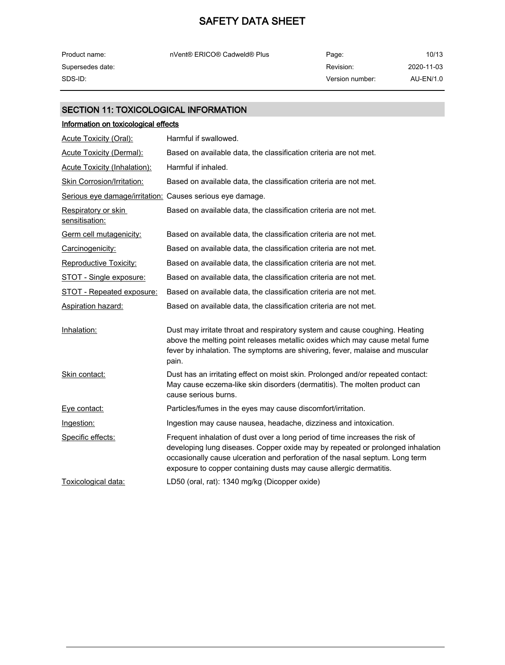| Product name:    | nVent® ERICO® Cadweld® Plus | Page:           | 10/13      |
|------------------|-----------------------------|-----------------|------------|
| Supersedes date: |                             | Revision:       | 2020-11-03 |
| SDS-ID: .        |                             | Version number: | AU-EN/1.0  |

### SECTION 11: TOXICOLOGICAL INFORMATION

| Information on toxicological effects                      |                                                                                                                                                                                                                                                                                                                      |  |  |  |
|-----------------------------------------------------------|----------------------------------------------------------------------------------------------------------------------------------------------------------------------------------------------------------------------------------------------------------------------------------------------------------------------|--|--|--|
| <b>Acute Toxicity (Oral):</b>                             | Harmful if swallowed.                                                                                                                                                                                                                                                                                                |  |  |  |
| <b>Acute Toxicity (Dermal):</b>                           | Based on available data, the classification criteria are not met.                                                                                                                                                                                                                                                    |  |  |  |
| <b>Acute Toxicity (Inhalation):</b>                       | Harmful if inhaled.                                                                                                                                                                                                                                                                                                  |  |  |  |
| <b>Skin Corrosion/Irritation:</b>                         | Based on available data, the classification criteria are not met.                                                                                                                                                                                                                                                    |  |  |  |
| Serious eye damage/irritation: Causes serious eye damage. |                                                                                                                                                                                                                                                                                                                      |  |  |  |
| Respiratory or skin<br>sensitisation:                     | Based on available data, the classification criteria are not met.                                                                                                                                                                                                                                                    |  |  |  |
| Germ cell mutagenicity:                                   | Based on available data, the classification criteria are not met.                                                                                                                                                                                                                                                    |  |  |  |
| Carcinogenicity:                                          | Based on available data, the classification criteria are not met.                                                                                                                                                                                                                                                    |  |  |  |
| <b>Reproductive Toxicity:</b>                             | Based on available data, the classification criteria are not met.                                                                                                                                                                                                                                                    |  |  |  |
| <u>STOT - Single exposure:</u>                            | Based on available data, the classification criteria are not met.                                                                                                                                                                                                                                                    |  |  |  |
| <b>STOT - Repeated exposure:</b>                          | Based on available data, the classification criteria are not met.                                                                                                                                                                                                                                                    |  |  |  |
| Aspiration hazard:                                        | Based on available data, the classification criteria are not met.                                                                                                                                                                                                                                                    |  |  |  |
| Inhalation:                                               | Dust may irritate throat and respiratory system and cause coughing. Heating<br>above the melting point releases metallic oxides which may cause metal fume<br>fever by inhalation. The symptoms are shivering, fever, malaise and muscular<br>pain.                                                                  |  |  |  |
| Skin contact:                                             | Dust has an irritating effect on moist skin. Prolonged and/or repeated contact:<br>May cause eczema-like skin disorders (dermatitis). The molten product can<br>cause serious burns.                                                                                                                                 |  |  |  |
| Eye contact:                                              | Particles/fumes in the eyes may cause discomfort/irritation.                                                                                                                                                                                                                                                         |  |  |  |
| Ingestion:                                                | Ingestion may cause nausea, headache, dizziness and intoxication.                                                                                                                                                                                                                                                    |  |  |  |
| Specific effects:                                         | Frequent inhalation of dust over a long period of time increases the risk of<br>developing lung diseases. Copper oxide may by repeated or prolonged inhalation<br>occasionally cause ulceration and perforation of the nasal septum. Long term<br>exposure to copper containing dusts may cause allergic dermatitis. |  |  |  |
| Toxicological data:                                       | LD50 (oral, rat): 1340 mg/kg (Dicopper oxide)                                                                                                                                                                                                                                                                        |  |  |  |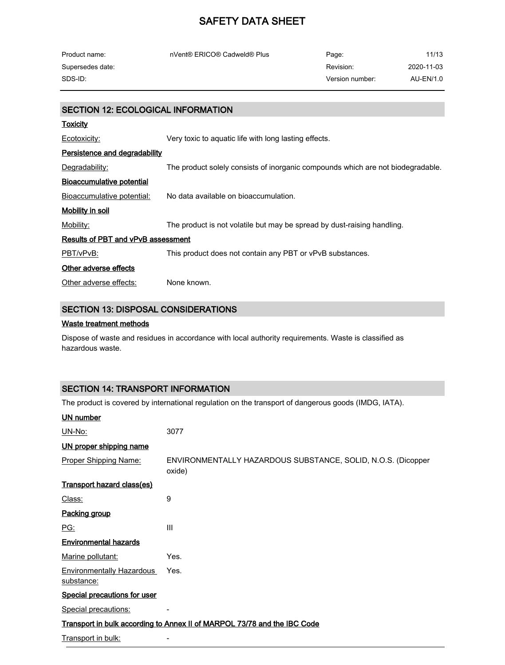| Product name:    | nVent® ERICO® Cadweld® Plus | Page:           | 11/13      |
|------------------|-----------------------------|-----------------|------------|
| Supersedes date: |                             | Revision:       | 2020-11-03 |
| SDS-ID: .        |                             | Version number: | AU-EN/1.0  |

## SECTION 12: ECOLOGICAL INFORMATION

| <b>Toxicity</b>                      |                                                                                 |  |  |  |
|--------------------------------------|---------------------------------------------------------------------------------|--|--|--|
| Ecotoxicity:                         | Very toxic to aguatic life with long lasting effects.                           |  |  |  |
| <b>Persistence and degradability</b> |                                                                                 |  |  |  |
| Degradability:                       | The product solely consists of inorganic compounds which are not biodegradable. |  |  |  |
| Bioaccumulative potential            |                                                                                 |  |  |  |
| Bioaccumulative potential:           | No data available on bioaccumulation.                                           |  |  |  |
| Mobility in soil                     |                                                                                 |  |  |  |
| Mobility:                            | The product is not volatile but may be spread by dust-raising handling.         |  |  |  |
| Results of PBT and vPvB assessment   |                                                                                 |  |  |  |
| PBT/vPvB:                            | This product does not contain any PBT or vPvB substances.                       |  |  |  |
| Other adverse effects                |                                                                                 |  |  |  |
| Other adverse effects:               | None known.                                                                     |  |  |  |

### SECTION 13: DISPOSAL CONSIDERATIONS

#### Waste treatment methods

Dispose of waste and residues in accordance with local authority requirements. Waste is classified as hazardous waste.

### SECTION 14: TRANSPORT INFORMATION

The product is covered by international regulation on the transport of dangerous goods (IMDG, IATA).

| <b>UN number</b>                               |                                                                          |
|------------------------------------------------|--------------------------------------------------------------------------|
| UN-No:                                         | 3077                                                                     |
| UN proper shipping name                        |                                                                          |
| Proper Shipping Name:                          | ENVIRONMENTALLY HAZARDOUS SUBSTANCE, SOLID, N.O.S. (Dicopper<br>oxide)   |
| <b>Transport hazard class(es)</b>              |                                                                          |
| Class:                                         | 9                                                                        |
| Packing group                                  |                                                                          |
| PG:                                            | III                                                                      |
| <b>Environmental hazards</b>                   |                                                                          |
| Marine pollutant:                              | Yes.                                                                     |
| <b>Environmentally Hazardous</b><br>substance: | Yes.                                                                     |
| <b>Special precautions for user</b>            |                                                                          |
| Special precautions:                           |                                                                          |
|                                                | Transport in bulk according to Annex II of MARPOL 73/78 and the IBC Code |
| Transport in bulk:                             |                                                                          |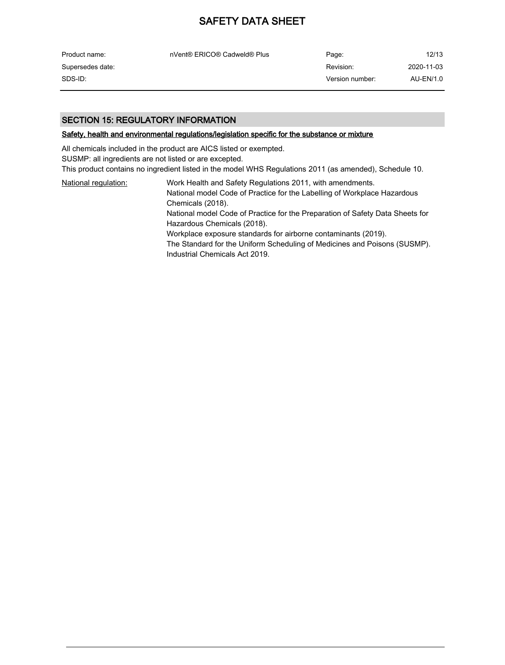| Product name:    | nVent® ERICO® Cadweld® Plus | Page:           | 12/13      |
|------------------|-----------------------------|-----------------|------------|
| Supersedes date: |                             | Revision:       | 2020-11-03 |
| SDS-ID:          |                             | Version number: | AU-EN/1.0  |

#### SECTION 15: REGULATORY INFORMATION

#### Safety, health and environmental regulations/legislation specific for the substance or mixture

All chemicals included in the product are AICS listed or exempted. SUSMP: all ingredients are not listed or are excepted. This product contains no ingredient listed in the model WHS Regulations 2011 (as amended), Schedule 10.

National regulation: Work Health and Safety Regulations 2011, with amendments. National model Code of Practice for the Labelling of Workplace Hazardous Chemicals (2018). National model Code of Practice for the Preparation of Safety Data Sheets for Hazardous Chemicals (2018). Workplace exposure standards for airborne contaminants (2019). The Standard for the Uniform Scheduling of Medicines and Poisons (SUSMP). Industrial Chemicals Act 2019.